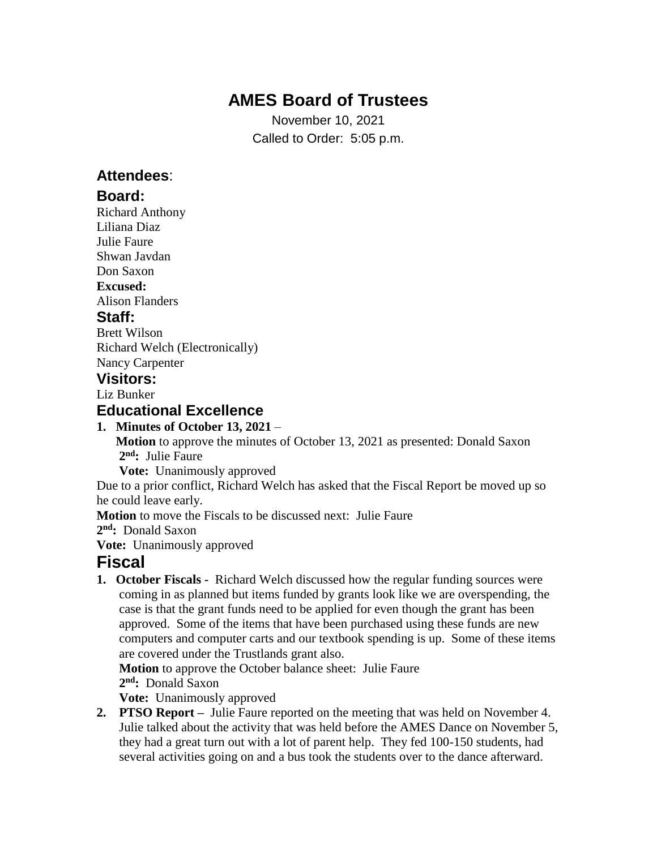# **AMES Board of Trustees**

November 10, 2021 Called to Order: 5:05 p.m.

## **Attendees**:

#### **Board:**

Richard Anthony Liliana Diaz Julie Faure Shwan Javdan Don Saxon **Excused:** Alison Flanders **Staff:**

Brett Wilson Richard Welch (Electronically) Nancy Carpenter

## **Visitors:**

Liz Bunker

#### **Educational Excellence**

#### **1. Minutes of October 13, 2021** –

 **Motion** to approve the minutes of October 13, 2021 as presented: Donald Saxon **2 nd:** Julie Faure

**Vote:** Unanimously approved

Due to a prior conflict, Richard Welch has asked that the Fiscal Report be moved up so he could leave early.

**Motion** to move the Fiscals to be discussed next: Julie Faure

**2 nd:** Donald Saxon

**Vote:** Unanimously approved

## **Fiscal**

**1. October Fiscals -** Richard Welch discussed how the regular funding sources were coming in as planned but items funded by grants look like we are overspending, the case is that the grant funds need to be applied for even though the grant has been approved. Some of the items that have been purchased using these funds are new computers and computer carts and our textbook spending is up. Some of these items are covered under the Trustlands grant also.

**Motion** to approve the October balance sheet: Julie Faure

**2 nd:** Donald Saxon

**Vote:** Unanimously approved

**2. PTSO Report –** Julie Faure reported on the meeting that was held on November 4. Julie talked about the activity that was held before the AMES Dance on November 5, they had a great turn out with a lot of parent help. They fed 100-150 students, had several activities going on and a bus took the students over to the dance afterward.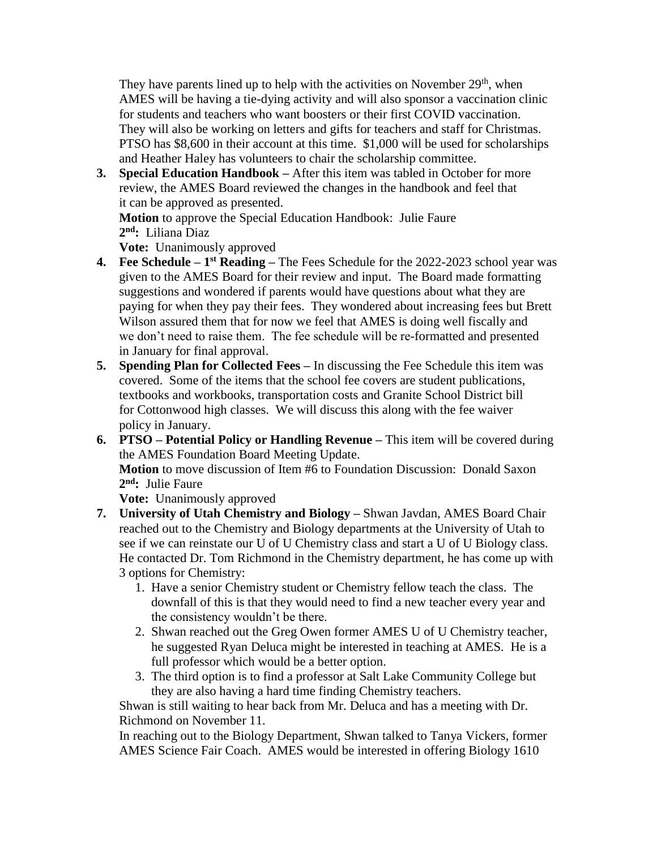They have parents lined up to help with the activities on November  $29<sup>th</sup>$ , when AMES will be having a tie-dying activity and will also sponsor a vaccination clinic for students and teachers who want boosters or their first COVID vaccination. They will also be working on letters and gifts for teachers and staff for Christmas. PTSO has \$8,600 in their account at this time. \$1,000 will be used for scholarships and Heather Haley has volunteers to chair the scholarship committee.

**3. Special Education Handbook –** After this item was tabled in October for more review, the AMES Board reviewed the changes in the handbook and feel that it can be approved as presented.

 **Motion** to approve the Special Education Handbook: Julie Faure **2 nd:** Liliana Diaz

**Vote:** Unanimously approved

- **4. Fee Schedule – 1 st Reading –** The Fees Schedule for the 2022-2023 school year was given to the AMES Board for their review and input. The Board made formatting suggestions and wondered if parents would have questions about what they are paying for when they pay their fees. They wondered about increasing fees but Brett Wilson assured them that for now we feel that AMES is doing well fiscally and we don't need to raise them. The fee schedule will be re-formatted and presented in January for final approval.
- **5. Spending Plan for Collected Fees –** In discussing the Fee Schedule this item was covered. Some of the items that the school fee covers are student publications, textbooks and workbooks, transportation costs and Granite School District bill for Cottonwood high classes. We will discuss this along with the fee waiver policy in January.
- **6. PTSO – Potential Policy or Handling Revenue –** This item will be covered during the AMES Foundation Board Meeting Update. **Motion** to move discussion of Item #6 to Foundation Discussion: Donald Saxon **2 nd:** Julie Faure

 **Vote:** Unanimously approved

- **7. University of Utah Chemistry and Biology –** Shwan Javdan, AMES Board Chair reached out to the Chemistry and Biology departments at the University of Utah to see if we can reinstate our U of U Chemistry class and start a U of U Biology class. He contacted Dr. Tom Richmond in the Chemistry department, he has come up with 3 options for Chemistry:
	- 1. Have a senior Chemistry student or Chemistry fellow teach the class. The downfall of this is that they would need to find a new teacher every year and the consistency wouldn't be there.
	- 2. Shwan reached out the Greg Owen former AMES U of U Chemistry teacher, he suggested Ryan Deluca might be interested in teaching at AMES. He is a full professor which would be a better option.
	- 3. The third option is to find a professor at Salt Lake Community College but they are also having a hard time finding Chemistry teachers.

 Shwan is still waiting to hear back from Mr. Deluca and has a meeting with Dr. Richmond on November 11.

 In reaching out to the Biology Department, Shwan talked to Tanya Vickers, former AMES Science Fair Coach. AMES would be interested in offering Biology 1610